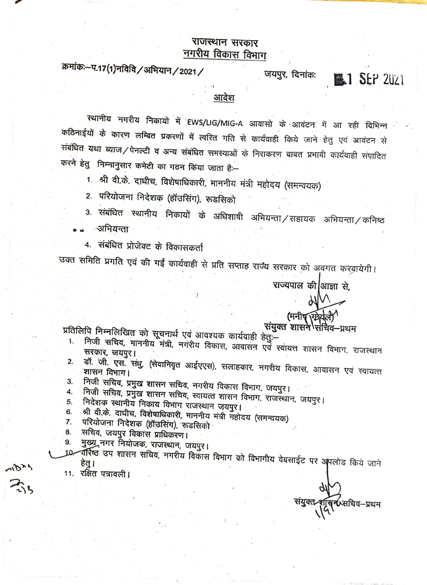## राजस्थान सरकार नगरीय विकास विभाग

क्रमांकः-प.17(1)नविवि / अभियान / 2021 /

जयपुर, दिनांक:

**臨1 SEP 2021** 

आदेश

रथानीय नगरीय निकायो में EWS/LIG/MIG-A आवासो के आवंटन में आ रही विभिन्न कठिनाईयों के कारण लम्बित प्रकरणों में त्वरित गति से कार्यवाही किये जाने हेतु एवं आवंटन से संबंधित यथा व्याज/पेनल्टी व अन्य संबंधित समस्याओं के निराकरण बाबत प्रभावी कार्यवाही संपादित करने हेतु निम्नानुसार कमेटी का गठन किया जाता है:--

1. श्री वी.के. दाधीच, विशेषाधिकारी, माननीय मंत्री महोदय (समन्वयक)

2. परियोजना निदेशक (हॉउसिंग), रूडसिको

3. संबंधित स्थानीय निकायों के अधिशाषी अभियन्ता/सहायक अभियन्ता/कनिष्ठ

ंअभियन्ता

4. संबंधित प्रोजेक्ट के विकासकर्ता

उक्त समिति प्रगति एवं की गईं कार्यवाही से प्रति सप्ताह राज्य सरकार को अवगत करवायेगी।

राज्यपाल की आज्ञा से,

## (मनीष (ग्रेशल) संयुक्त शासने संचिव–प्रथम

प्रतिलिपि निम्नलिखित को सूचनार्थ एवं आवश्यक कार्यवाही हेतुः-

- निजी सचिव, माननीय मंत्री, नगरीय विकास, आवासन एवं स्वायत्त शासन विभाग, राजस्थान 1. सरकार, जयपुर।
- डॉ. जी. एस. संधु, (सेवानिवृत आईएएस), सलाहकार, नगरीय विकास, आवासन एवं स्वायत्त 2. 3.
- निजी सचिव, प्रमुख शासन सचिव, नगरीय विकास विभाग, जयपुर। 4.
- निजी सचिव, प्रमुख शासन सचिव, स्वायत्त शासन विभाग, राजस्थान, जयपुर। 5.
- निदेशक स्थानीय निकाय विभाग राजस्थान जयपुर।
- श्री वी.के. दाधीच, विशेषाधिकारी, माननीय मंत्री महोदय (समन्वयक) 6. 7.
- परियोजना निदेशक (हॉउसिंग), रूडसिको
- सचिव, जयपुर विकास प्राधिकरण। 8.
- मुख्यु नगर नियोजक, राजस्थान, जयपुर। 9.
- वर्रिष्ठ उप शासन सचिव, नगरीय विकास विभाग को विभागीय वेबसाईट पर अपलोड किये जाने हेतु ।
	- 11. रक्षित पत्रावली |

**Ú**सचिव–प्रथम